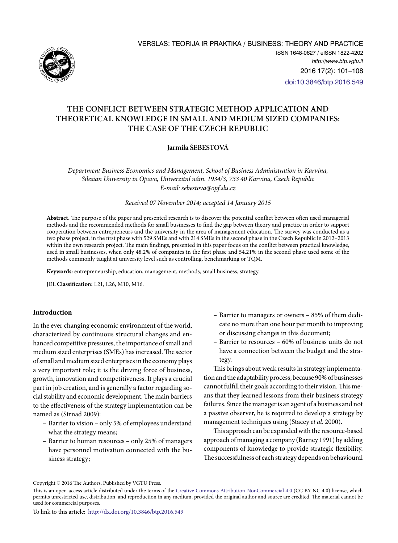

# **THE CONFLICT BETWEEN STRATEGIC METHOD APPLICATION AND THEORETICAL KNOWLEDGE IN SMALL AND MEDIUM SIZED COMPANIES: THE CASE OF THE CZECH REPUBLIC**

## **Jarmila ŠEBESTOVÁ**

*Department Business Economics and Management, School of Business Administration in Karvina, Silesian University in Opava, Univerzitní nám. 1934/3, 733 40 Karvina, Czech Republic E-mail: [sebestova@opf.slu.cz](mailto:sebestova@opf.slu.cz)*

*Received 07 November 2014; accepted 14 January 2015* 

**Abstract.** The purpose of the paper and presented research is to discover the potential conflict between often used managerial methods and the recommended methods for small businesses to find the gap between theory and practice in order to support cooperation between entrepreneurs and the university in the area of management education. The survey was conducted as a two phase project, in the first phase with 529 SMEs and with 214 SMEs in the second phase in the Czech Republic in 2012–2013 within the own research project. The main findings, presented in this paper focus on the conflict between practical knowledge, used in small businesses, when only 48.2% of companies in the first phase and 54.21% in the second phase used some of the methods commonly taught at university level such as controlling, benchmarking or TQM.

**Keywords:** entrepreneurship, education, management, methods, small business, strategy.

**JEL Classification:** L21, L26, M10, M16.

## **Introduction**

In the ever changing economic environment of the world, characterized by continuous structural changes and enhanced competitive pressures, the importance of small and medium sized enterprises (SMEs) has increased. The sector of small and medium sized enterprises in the economy plays a very important role; it is the driving force of business, growth, innovation and competitiveness. It plays a crucial part in job creation, and is generally a factor regarding social stability and economic development. The main barriers to the effectiveness of the strategy implementation can be named as (Strnad 2009):

- Barrier to vision only 5% of employees understand what the strategy means;
- Barrier to human resources only 25% of managers have personnel motivation connected with the business strategy;
- Barrier to managers or owners 85% of them dedicate no more than one hour per month to improving or discussing changes in this document;
- Barrier to resources 60% of business units do not have a connection between the budget and the strategy.

This brings about weak results in strategy implementation and the adaptability process, because 90% of businesses cannot fulfill their goals according to their vision. This means that they learned lessons from their business strategy failures. Since the manager is an agent of a business and not a passive observer, he is required to develop a strategy by management techniques using (Stacey *et al*. 2000).

This approach can be expanded with the resource-based approach of managing a company (Barney 1991) by adding components of knowledge to provide strategic flexibility. The successfulness of each strategy depends on behavioural

Copyright © 2016 The Authors. Published by VGTU Press.

This is an open-access article distributed under the terms of the [Creative Commons Attribution-NonCommercial 4.0](http://creativecommons.org/licenses/by-nc/4.0/) (CC BY-NC 4.0) license, which permits unrestricted use, distribution, and reproduction in any medium, provided the original author and source are credited. The material cannot be used for commercial purposes.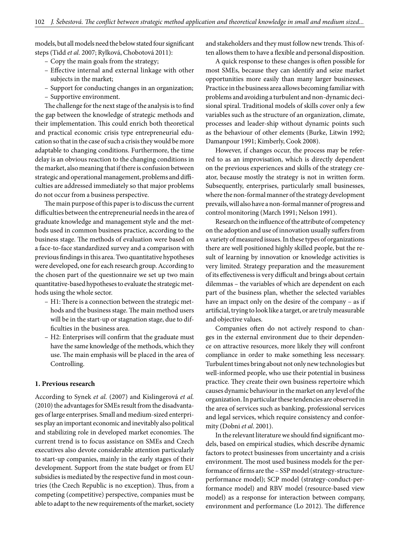models, but all models need the below stated four significant steps (Tidd *et al.* 2007; Rylková, Chobotová 2011):

- Copy the main goals from the strategy;
- Effective internal and external linkage with other subjects in the market;
- Support for conducting changes in an organization;
- Supportive environment.

The challenge for the next stage of the analysis is to find the gap between the knowledge of strategic methods and their implementation. This could enrich both theoretical and practical economic crisis type entrepreneurial education so that in the case of such a crisis they would be more adaptable to changing conditions. Furthermore, the time delay is an obvious reaction to the changing conditions in the market, also meaning that if there is confusion between strategic and operational management, problems and difficulties are addressed immediately so that major problems do not occur from a business perspective.

The main purpose of this paper is to discuss the current difficulties between the entrepreneurial needs in the area of graduate knowledge and management style and the methods used in common business practice, according to the business stage. The methods of evaluation were based on a face-to-face standardized survey and a comparison with previous findings in this area. Two quantitative hypotheses were developed, one for each research group. According to the chosen part of the questionnaire we set up two main quantitative-based hypotheses to evaluate the strategic methods using the whole sector.

- H1: There is a connection between the strategic methods and the business stage. The main method users will be in the start-up or stagnation stage, due to difficulties in the business area.
- H2: Enterprises will confirm that the graduate must have the same knowledge of the methods, which they use. The main emphasis will be placed in the area of Controlling.

## **1. Previous research**

According to Synek *et al.* (2007) and Kislingerová *et al.* (2010) the advantages for SMEs result from the disadvantages of large enterprises. Small and medium-sized enterprises play an important economic and inevitably also political and stabilizing role in developed market economies. The current trend is to focus assistance on SMEs and Czech executives also devote considerable attention particularly to start-up companies, mainly in the early stages of their development. Support from the state budget or from EU subsidies is mediated by the respective fund in most countries (the Czech Republic is no exception). Thus, from a competing (competitive) perspective, companies must be able to adapt to the new requirements of the market, society

and stakeholders and they must follow new trends. This often allows them to have a flexible and personal disposition.

A quick response to these changes is often possible for most SMEs, because they can identify and seize market opportunities more easily than many larger businesses. Practice in the business area allows becoming familiar with problems and avoiding a turbulent and non-dynamic decisional spiral. Traditional models of skills cover only a few variables such as the structure of an organization, climate, processes and leader-ship without dynamic points such as the behaviour of other elements (Burke, Litwin 1992; Damanpour 1991; Kimberly, Cook 2008).

However, if changes occur, the process may be referred to as an improvisation, which is directly dependent on the previous experiences and skills of the strategy creator, because mostly the strategy is not in written form. Subsequently, enterprises, particularly small businesses, where the non-formal manner of the strategy development prevails, will also have a non-formal manner of progress and control monitoring (March 1991; Nelson 1991).

Research on the influence of the attribute of competency on the adoption and use of innovation usually suffers from a variety of measured issues. In these types of organizations there are well positioned highly skilled people, but the result of learning by innovation or knowledge activities is very limited. Strategy preparation and the measurement of its effectiveness is very difficult and brings about certain dilemmas – the variables of which are dependent on each part of the business plan, whether the selected variables have an impact only on the desire of the company – as if artificial, trying to look like a target, or are truly measurable and objective values.

Companies often do not actively respond to changes in the external environment due to their dependence on attractive resources, more likely they will confront compliance in order to make something less necessary. Turbulent times bring about not only new technologies but well-informed people, who use their potential in business practice. They create their own business repertoire which causes dynamic behaviour in the market on any level of the organization. In particular these tendencies are observed in the area of services such as banking, professional services and legal services, which require consistency and conformity (Dobni *et al*. 2001).

In the relevant literature we should find significant models, based on empirical studies, which describe dynamic factors to protect businesses from uncertainty and a crisis environment. The most used business models for the performance of firms are the – SSP model (strategy-structureperformance model); SCP model (strategy-conduct-performance model) and RBV model (resource-based view model) as a response for interaction between company, environment and performance (Lo 2012). The difference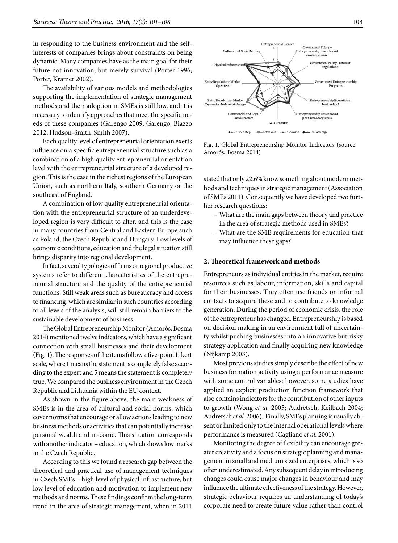in responding to the business environment and the selfinterests of companies brings about constraints on being dynamic. Many companies have as the main goal for their future not innovation, but merely survival (Porter 1996; Porter, Kramer 2002).

The availability of various models and methodologies supporting the implementation of strategic management methods and their adoption in SMEs is still low, and it is necessary to identify approaches that meet the specific needs of these companies (Garengo 2009; Garengo, Biazzo 2012; Hudson-Smith, Smith 2007).

Each quality level of entrepreneurial orientation exerts influence on a specific entrepreneurial structure such as a combination of a high quality entrepreneurial orientation level with the entrepreneurial structure of a developed region. This is the case in the richest regions of the European Union, such as northern Italy, southern Germany or the southeast of England.

A combination of low quality entrepreneurial orientation with the entrepreneurial structure of an underdeveloped region is very difficult to alter, and this is the case in many countries from Central and Eastern Europe such as Poland, the Czech Republic and Hungary. Low levels of economic conditions, education and the legal situation still brings disparity into regional development.

In fact, several typologies of firms or regional productive systems refer to different characteristics of the entrepreneurial structure and the quality of the entrepreneurial functions. Still weak areas such as bureaucracy and access to financing, which are similar in such countries according to all levels of the analysis, will still remain barriers to the sustainable development of business.

The Global Entrepreneurship Monitor (Amorós, Bosma 2014) mentioned twelve indicators, which have a significant connection with small businesses and their development (Fig. 1). The responses of the items follow a five-point Likert scale, where 1 means the statement is completely false according to the expert and 5 means the statement is completely true. We compared the business environment in the Czech Republic and Lithuania within the EU context.

As shown in the figure above, the main weakness of SMEs is in the area of cultural and social norms, which cover norms that encourage or allow actions leading to new business methods or activities that can potentially increase personal wealth and in-come. This situation corresponds with another indicator – education, which shows low marks in the Czech Republic.

According to this we found a research gap between the theoretical and practical use of management techniques in Czech SMEs – high level of physical infrastructure, but low level of education and motivation to implement new methods and norms. These findings confirm the long-term trend in the area of strategic management, when in 2011



Fig. 1. Global Entrepreneurship Monitor Indicators (source: Amorós, Bosma 2014)

stated that only 22.6% know something about modern methods and techniques in strategic management (Association of SMEs 2011). Consequently we have developed two further research questions:

- What are the main gaps between theory and practice in the area of strategic methods used in SMEs?
- What are the SME requirements for education that may influence these gaps?

## **2. Theoretical framework and methods**

Entrepreneurs as individual entities in the market, require resources such as labour, information, skills and capital for their businesses. They often use friends or informal contacts to acquire these and to contribute to knowledge generation. During the period of economic crisis, the role of the entrepreneur has changed. Entrepreneurship is based on decision making in an environment full of uncertainty whilst pushing businesses into an innovative but risky strategy application and finally acquiring new knowledge (Nijkamp 2003).

Most previous studies simply describe the effect of new business formation activity using a performance measure with some control variables; however, some studies have applied an explicit production function framework that also contains indicators for the contribution of other inputs to growth (Wong *et al.* 2005; Audretsch, Keilbach 2004; Audretsch *et al.* 2006). Finally, SMEs planning is usually absent or limited only to the internal operational levels where performance is measured (Cagliano *et al.* 2001).

Monitoring the degree of flexibility can encourage greater creativity and a focus on strategic planning and management in small and medium sized enterprises, which is so often underestimated. Any subsequent delay in introducing changes could cause major changes in behaviour and may influence the ultimate effectiveness of the strategy. However, strategic behaviour requires an understanding of today's corporate need to create future value rather than control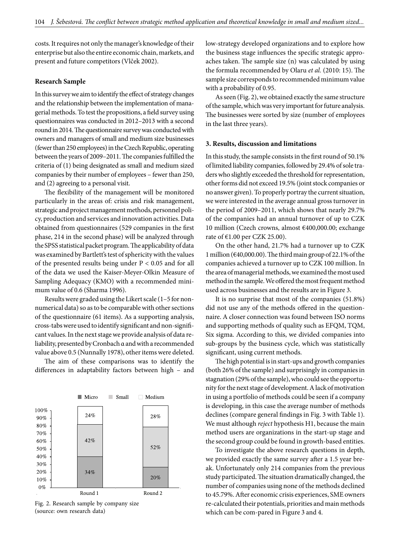costs. It requires not only the manager's knowledge of their enterprise but also the entire economic chain, markets, and present and future competitors (Vlček 2002).

## **Research Sample**

In this survey we aim to identify the effect of strategy changes and the relationship between the implementation of managerial methods. To test the propositions, a field survey using questionnaires was conducted in 2012–2013 with a second round in 2014. The questionnaire survey was conducted with owners and managers of small and medium size businesses (fewer than 250 employees) in the Czech Republic, operating between the years of 2009–2011. The companies fulfilled the criteria of (1) being designated as small and medium sized companies by their number of employees – fewer than 250, and (2) agreeing to a personal visit.

The flexibility of the management will be monitored particularly in the areas of: crisis and risk management, strategic and project management methods, personnel policy, production and services and innovation activities. Data obtained from questionnaires (529 companies in the first phase, 214 in the second phase) will be analyzed through the SPSS statistical packet program. The applicability of data was examined by Bartlett's test of sphericity with the values of the presented results being under P < 0.05 and for all of the data we used the Kaiser-Meyer-Olkin Measure of Sampling Adequacy (KMO) with a recommended minimum value of 0.6 (Sharma 1996).

Results were graded using the Likert scale (1–5 for nonnumerical data) so as to be comparable with other sections of the questionnaire (61 items). As a supporting analysis, cross-tabs were used to identify significant and non-significant values. In the next stage we provide analysis of data reliability, presented by Cronbach α and with a recommended value above 0.5 (Nunnally 1978), other items were deleted.

The aim of these comparisons was to identify the differences in adaptability factors between high – and



Fig. 2. Research sample by company size (source: own research data)

low-strategy developed organizations and to explore how the business stage influences the specific strategic approaches taken. The sample size (n) was calculated by using the formula recommended by Olaru *et al.* (2010: 15). The sample size corresponds to recommended minimum value with a probability of 0.95.

As seen (Fig. 2), we obtained exactly the same structure of the sample, which was very important for future analysis. The businesses were sorted by size (number of employees in the last three years).

#### **3. Results, discussion and limitations**

In this study, the sample consists in the first round of 50.1% of limited liability companies, followed by 29.4% of sole traders who slightly exceeded the threshold for representation, other forms did not exceed 19.5% (joint stock companies or no answer given). To properly portray the current situation, we were interested in the average annual gross turnover in the period of 2009–2011, which shows that nearly 29.7% of the companies had an annual turnover of up to CZK 10 million (Czech crowns, almost €400,000.00; exchange rate of  $\text{\textsterling}1.00$  per CZK 25.00).

On the other hand, 21.7% had a turnover up to CZK 1 million (€40,000.00). The third main group of 22.1% of the companies achieved a turnover up to CZK 100 million. In the area of managerial methods, we examined the most used method in the sample. We offered the most frequent method used across businesses and the results are in Figure 3.

It is no surprise that most of the companies (51.8%) did not use any of the methods offered in the questionnaire. A closer connection was found between ISO norms and supporting methods of quality such as EFQM, TQM, Six sigma. According to this, we divided companies into sub-groups by the business cycle, which was statistically significant, using current methods.

The high potential is in start-ups and growth companies (both 26% of the sample) and surprisingly in companies in stagnation (29% of the sample), who could see the opportunity for the next stage of development. A lack of motivation in using a portfolio of methods could be seen if a company is developing, in this case the average number of methods declines (compare general findings in Fig. 3 with Table 1). We must although *reject* hypothesis H1, because the main method users are organizations in the start-up stage and the second group could be found in growth-based entities.

To investigate the above research questions in depth, we provided exactly the same survey after a 1.5 year break. Unfortunately only 214 companies from the previous study participated. The situation dramatically changed, the number of companies using none of the methods declined to 45.79%. After economic crisis experiences, SME owners re-calculated their potentials, priorities and main methods which can be com-pared in Figure 3 and 4.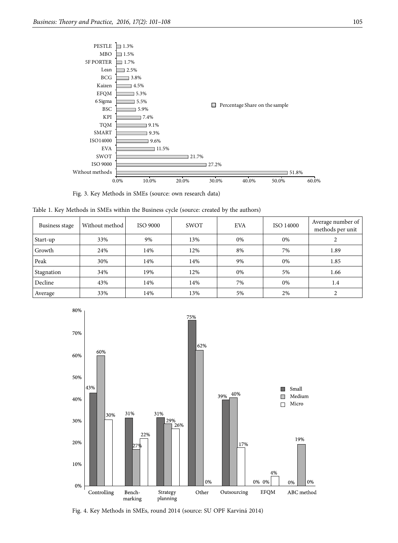

Fig. 3. Key Methods in SMEs (source: own research data)

|  |  | Table 1. Key Methods in SMEs within the Business cycle (source: created by the authors) |  |  |  |  |  |  |  |  |  |
|--|--|-----------------------------------------------------------------------------------------|--|--|--|--|--|--|--|--|--|
|--|--|-----------------------------------------------------------------------------------------|--|--|--|--|--|--|--|--|--|

| Business stage | Without method | <b>ISO 9000</b> | <b>SWOT</b> | <b>EVA</b> | ISO 14000 | Average number of<br>methods per unit |
|----------------|----------------|-----------------|-------------|------------|-----------|---------------------------------------|
| Start-up       | 33%            | 9%              | 13%         | 0%         | 0%        | $\mathcal{D}$                         |
| Growth         | 24%            | 14%             | 12%         | 8%         | 7%        | 1.89                                  |
| Peak           | 30%            | 14%             | 14%         | 9%         | 0%        | 1.85                                  |
| Stagnation     | 34%            | 19%             | 12%         | 0%         | 5%        | 1.66                                  |
| Decline        | 43%            | 14%             | 14%         | 7%         | 0%        | 1.4                                   |
| Average        | 33%            | 14%             | 13%         | 5%         | 2%        | ∍                                     |



Fig. 4. Key Methods in SMEs, round 2014 (source: SU OPF Karviná 2014)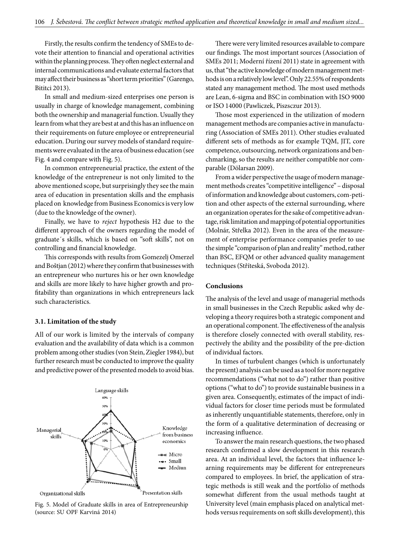Firstly, the results confirm the tendency of SMEs to devote their attention to financial and operational activities within the planning process. They often neglect external and internal communications and evaluate external factors that may affect their business as "short term priorities" (Garengo, Bititci 2013).

In small and medium-sized enterprises one person is usually in charge of knowledge management, combining both the ownership and managerial function. Usually they learn from what they are best at and this has an influence on their requirements on future employee or entrepreneurial education. During our survey models of standard requirements were evaluated in the area of business education (see Fig. 4 and compare with Fig. 5).

In common entrepreneurial practice, the extent of the knowledge of the entrepreneur is not only limited to the above mentioned scope, but surprisingly they see the main area of education in presentation skills and the emphasis placed on knowledge from Business Economics is very low (due to the knowledge of the owner).

Finally, we have to *reject* hypothesis H2 due to the different approach of the owners regarding the model of graduate´s skills, which is based on "soft skills", not on controlling and financial knowledge.

This corresponds with results from Gomezelj Omerzel and Boštjan (2012) where they confirm that businesses with an entrepreneur who nurtures his or her own knowledge and skills are more likely to have higher growth and profitability than organizations in which entrepreneurs lack such characteristics.

#### **3.1. Limitation of the study**

All of our work is limited by the intervals of company evaluation and the availability of data which is a common problem among other studies (von Stein, Ziegler 1984), but further research must be conducted to improve the quality and predictive power of the presented models to avoid bias.



Fig. 5. Model of Graduate skills in area of Entrepreneurship (source: SU OPF Karviná 2014)

There were very limited resources available to compare our findings. The most important sources (Association of SMEs 2011; Moderní řízení 2011) state in agreement with us, that "the active knowledge of modern management methods is on a relatively low level". Only 22.55% of respondents stated any management method. The most used methods are Lean, 6-sigma and BSC in combination with ISO 9000 or ISO 14000 (Pawliczek, Piszsczur 2013).

Those most experienced in the utilization of modern management methods are companies active in manufacturing (Association of SMEs 2011). Other studies evaluated different sets of methods as for example TQM, JIT, core competence, outsourcing, network organizations and benchmarking, so the results are neither compatible nor comparable (Dölarsan 2009).

From a wider perspective the usage of modern management methods creates "competitive intelligence" – disposal of information and knowledge about customers, com-petition and other aspects of the external surrounding, where an organization operates for the sake of competitive advantage, risk limitation and mapping of potential opportunities (Molnár, Střelka 2012). Even in the area of the measurement of enterprise performance companies prefer to use the simple "comparison of plan and reality" method, rather than BSC, EFQM or other advanced quality management techniques (Stříteská, Svoboda 2012).

#### **Conclusions**

The analysis of the level and usage of managerial methods in small businesses in the Czech Republic asked why developing a theory requires both a strategic component and an operational component. The effectiveness of the analysis is therefore closely connected with overall stability, respectively the ability and the possibility of the pre-diction of individual factors.

In times of turbulent changes (which is unfortunately the present) analysis can be used as a tool for more negative recommendations ("what not to do") rather than positive options ("what to do") to provide sustainable business in a given area. Consequently, estimates of the impact of individual factors for closer time periods must be formulated as inherently unquantifiable statements, therefore, only in the form of a qualitative determination of decreasing or increasing influence.

To answer the main research questions, the two phased research confirmed a slow development in this research area. At an individual level, the factors that influence learning requirements may be different for entrepreneurs compared to employees. In brief, the application of strategic methods is still weak and the portfolio of methods somewhat different from the usual methods taught at University level (main emphasis placed on analytical methods versus requirements on soft skills development), this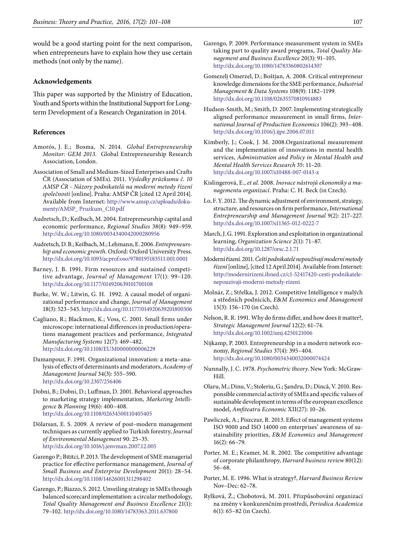would be a good starting point for the next comparison, when entrepreneurs have to explain how they use certain methods (not only by the name).

### **Acknowledgements**

This paper was supported by the Ministry of Education, Youth and Sports within the Institutional Support for Longterm Development of a Research Organization in 2014.

#### **References**

- Amorós, J. E.; Bosma, N. 2014. *Global Entrepreneurship Monitor: GEM 2013*. Global Entrepreneurship Research Association, London.
- Association of Small and Medium-Sized Enterprises and Crafts ČR (Association of SMEs). 2011. *Výsledky průzkumu č. 10 AMSP ČR - Názory podnikatelů na moderní metody řízení společnosti* [online]. Praha: AMSP ČR [cited 12 April 2014]. Available from Internet: [http://www.amsp.cz/uploads/doku](http://www.amsp.cz/uploads/dokumenty/AMSP_ Pruzkum_C10.pdf)[menty/AMSP\\_ Pruzkum\\_C10.pdf](http://www.amsp.cz/uploads/dokumenty/AMSP_ Pruzkum_C10.pdf)
- Audretsch, D.; Keilbach, M. 2004. Entrepreneurship capital and economic performance, *Regional Studies* 38(8): 949–959. <http://dx.doi.org/10.1080/0034340042000280956>
- Audretsch, D. B.; Keilbach, M.; Lehmann, E. 2006. *Entrepreneurship and economic growth*. Oxford: Oxford University Press. <http://dx.doi.org/10.1093/acprof:oso/9780195183511.001.0001>
- Barney, J. B. 1991. Firm resources and sustained competitive advantage, *Journal of Management* 17(1): 99–120. <http://dx.doi.org/10.1177/014920639101700108>
- Burke, W. W.; Litwin, G. H. 1992. A causal model of organizational performance and change, *Journal of Management* 18(3): 523–545.<http://dx.doi.org/10.1177/014920639201800306>
- Cagliano, R.; Blackmon, K.; Voss, C. 2001. Small firms under microscope: international differences in production/operations management practices and performance, *Integrated Manufacturing Systems* 12(7): 469–482. <http://dx.doi.org/10.1108/EUM0000000006229>
- Damanpour, F. 1991. Organizational innovation: a meta–analysis of effects of determinants and moderators, *Academy of Management Journal* 34(3): 555–590. <http://dx.doi.org/10.2307/256406>

Dobni, B.; Dobni, D.; Luffman, D. 2001. Behavioral approaches to marketing strategy implementation, *Marketing Intelligence* & *Planning* 19(6): 400–408. <http://dx.doi.org/10.1108/02634500110405405>

- Dölarsan, E. S. 2009. A review of post–modern management techniques as currently applied to Turkish forestry, *Journal of Environmental Management* 90: 25–35. <http://dx.doi.org/10.1016/j.jenvman.2007.12.005>
- Garengo P.; Bititci, P. 2013. The development of SME managerial practice for effective performance management, *Journal of Small Business and Enterprise Development* 20(1): 28–54. <http://dx.doi.org/10.1108/14626001311298402>
- Garengo, P.; Biazzo, S. 2012. Unveiling strategy in SMEs through balanced scorecard implementation: a circular methodology, *Total Quality Management and Business Excellence* 21(1): 79–102.<http://dx.doi.org/10.1080/14783363.2011.637800>
- Garengo, P. 2009. Performance measurement system in SMEs taking part to quality award programs, *Total Quality Management and Business Excellence* 20(3): 91–105. <http://dx.doi.org/10.1080/14783360802614307>
- Gomezelj Omerzel, D.; Boštjan, A. 2008. Critical entrepreneur knowledge dimensions for the SME performance, *Industrial Management* & *Data Systems* 108(9): 1182–1199. <http://dx.doi.org/10.1108/02635570810914883>
- Hudson-Smith, M.; Smith, D. 2007. Implementing strategically aligned performance measurement in small firms, *International Journal of Production Economics* 106(2): 393–408. <http://dx.doi.org/10.1016/j.ijpe.2006.07.011>
- Kimberly, J.; Cook, J. M. 2008.Organizational measurement and the implementation of innovations in mental health services, *Administration and Policy in Mental Health and Mental Health Services Research* 35: 11–20. <http://dx.doi.org/10.1007/s10488-007-0143-x>
- Kislingerová, E., *et al.* 2008. *Inovace nástrojů ekonomiky a managementu organizací*. Praha: C. H. Beck (in Czech).
- Lo, F. Y. 2012. The dynamic adjustment of environment, strategy, structure, and resources on firm performance, *International Entrepreneurship and Management Journal* 9(2): 217–227. <http://dx.doi.org/10.1007/s11365-012-0222-7>
- March, J. G. 1991. Exploration and exploitation in organizational learning, *Organization Science* 2(1): 71–87. <http://dx.doi.org/10.1287/orsc.2.1.71>
- Moderní řízení. 2011. *Čeští podnikatelé nepoužívají moderní metody řízení* [online], [cited 12 April 2014]. Available from Internet: [http://modernirizeni.ihned.cz/c1-52417420-cesti-podnikatele](http://modernirizeni.ihned.cz/c1-52417420-cesti-podnikatele-nepouzivaji-moderni-metody-rizeni)[nepouzivaji-moderni-metody-rizeni](http://modernirizeni.ihned.cz/c1-52417420-cesti-podnikatele-nepouzivaji-moderni-metody-rizeni)
- Molnár, Z.; Střelka, J. 2012. Competitive Intelligence v malých a středních podnicích, *E*&*M Economics and Management* 15(3): 156–170 (in Czech).
- Nelson, R. R. 1991. Why do firms differ, and how does it matter?, *Strategic Management Journal* 12(2): 61–74. <http://dx.doi.org/10.1002/smj.4250121006>
- Nijkamp, P. 2003. Entrepreneurship in a modern network economy, *Regional Studies* 37(4): 395–404. <http://dx.doi.org/10.1080/0034340032000074424>
- Nunnally, J. C. 1978. *Psychometric theory*. New York: McGraw-Hill.
- Olaru, M.; Dinu, V.; Stoleriu, G.; Şandru, D.; Dincă, V. 2010. Responsible commercial activity of SMEs and specific values of sustainable development in terms of the european excellence model, *Amfiteatru Economic* XII(27): 10–26.
- Pawliczek, A.; Piszczur, R. 2013. Effect of management systems ISO 9000 and ISO 14000 on enterprises' awareness of sustainability priorities, *E*&*M Economics and Management* 16(2): 66–79.
- Porter, M. E.; Kramer, M. R. 2002. The competitive advantage of corporate philanthropy, *Harvard business review* 80(12): 56–68.
- Porter, M. E. 1996. What is strategy?, *Harvard Business Review* Nov–Dec: 62–78.
- Rylková, Ž.; Chobotová, M. 2011. Přizpůsobování organizací na změny v konkurenčním prostředí, *Periodica Academica* 6(1): 65–82 (in Czech).